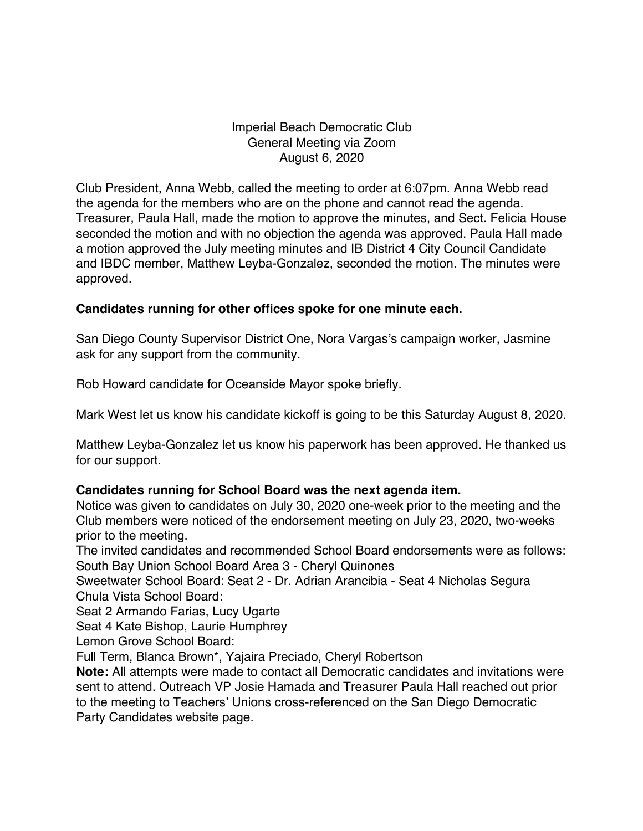## Imperial Beach Democratic Club General Meeting via Zoom August 6, 2020

Club President, Anna Webb, called the meeting to order at 6:07pm. Anna Webb read the agenda for the members who are on the phone and cannot read the agenda. Treasurer, Paula Hall, made the motion to approve the minutes, and Sect. Felicia House seconded the motion and with no objection the agenda was approved. Paula Hall made a motion approved the July meeting minutes and IB District 4 City Council Candidate and IBDC member, Matthew Leyba-Gonzalez, seconded the motion. The minutes were approved.

## **Candidates running for other offices spoke for one minute each.**

San Diego County Supervisor District One, Nora Vargas's campaign worker, Jasmine ask for any support from the community.

Rob Howard candidate for Oceanside Mayor spoke briefly.

Mark West let us know his candidate kickoff is going to be this Saturday August 8, 2020.

Matthew Leyba-Gonzalez let us know his paperwork has been approved. He thanked us for our support.

## **Candidates running for School Board was the next agenda item.**

Notice was given to candidates on July 30, 2020 one-week prior to the meeting and the Club members were noticed of the endorsement meeting on July 23, 2020, two-weeks prior to the meeting.

The invited candidates and recommended School Board endorsements were as follows: South Bay Union School Board Area 3 - Cheryl Quinones

Sweetwater School Board: Seat 2 - Dr. Adrian Arancibia - Seat 4 Nicholas Segura Chula Vista School Board:

Seat 2 Armando Farias, Lucy Ugarte

Seat 4 Kate Bishop, Laurie Humphrey

Lemon Grove School Board:

Full Term, Blanca Brown\*, Yajaira Preciado, Cheryl Robertson

**Note:** All attempts were made to contact all Democratic candidates and invitations were sent to attend. Outreach VP Josie Hamada and Treasurer Paula Hall reached out prior to the meeting to Teachers' Unions cross-referenced on the San Diego Democratic Party Candidates website page.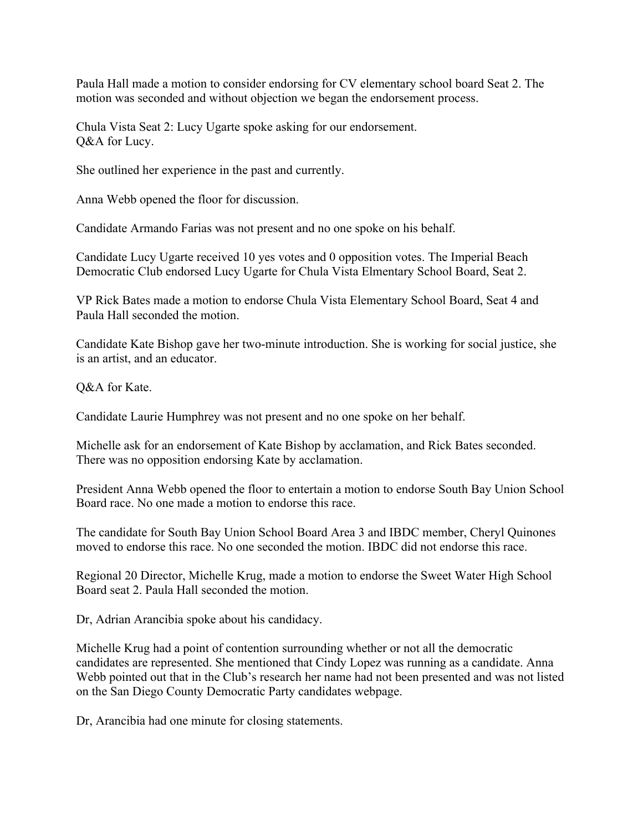Paula Hall made a motion to consider endorsing for CV elementary school board Seat 2. The motion was seconded and without objection we began the endorsement process.

Chula Vista Seat 2: Lucy Ugarte spoke asking for our endorsement. O&A for Lucy.

She outlined her experience in the past and currently.

Anna Webb opened the floor for discussion.

Candidate Armando Farias was not present and no one spoke on his behalf.

Candidate Lucy Ugarte received 10 yes votes and 0 opposition votes. The Imperial Beach Democratic Club endorsed Lucy Ugarte for Chula Vista Elmentary School Board, Seat 2.

VP Rick Bates made a motion to endorse Chula Vista Elementary School Board, Seat 4 and Paula Hall seconded the motion.

Candidate Kate Bishop gave her two-minute introduction. She is working for social justice, she is an artist, and an educator.

Q&A for Kate.

Candidate Laurie Humphrey was not present and no one spoke on her behalf.

Michelle ask for an endorsement of Kate Bishop by acclamation, and Rick Bates seconded. There was no opposition endorsing Kate by acclamation.

President Anna Webb opened the floor to entertain a motion to endorse South Bay Union School Board race. No one made a motion to endorse this race.

The candidate for South Bay Union School Board Area 3 and IBDC member, Cheryl Quinones moved to endorse this race. No one seconded the motion. IBDC did not endorse this race.

Regional 20 Director, Michelle Krug, made a motion to endorse the Sweet Water High School Board seat 2. Paula Hall seconded the motion.

Dr, Adrian Arancibia spoke about his candidacy.

Michelle Krug had a point of contention surrounding whether or not all the democratic candidates are represented. She mentioned that Cindy Lopez was running as a candidate. Anna Webb pointed out that in the Club's research her name had not been presented and was not listed on the San Diego County Democratic Party candidates webpage.

Dr, Arancibia had one minute for closing statements.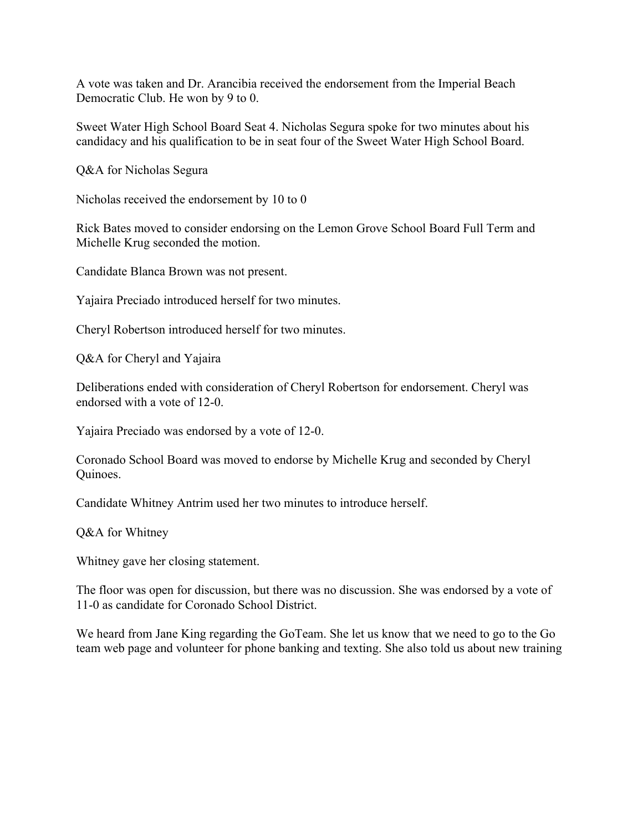A vote was taken and Dr. Arancibia received the endorsement from the Imperial Beach Democratic Club. He won by 9 to 0.

Sweet Water High School Board Seat 4. Nicholas Segura spoke for two minutes about his candidacy and his qualification to be in seat four of the Sweet Water High School Board.

Q&A for Nicholas Segura

Nicholas received the endorsement by 10 to 0

Rick Bates moved to consider endorsing on the Lemon Grove School Board Full Term and Michelle Krug seconded the motion.

Candidate Blanca Brown was not present.

Yajaira Preciado introduced herself for two minutes.

Cheryl Robertson introduced herself for two minutes.

Q&A for Cheryl and Yajaira

Deliberations ended with consideration of Cheryl Robertson for endorsement. Cheryl was endorsed with a vote of 12-0.

Yajaira Preciado was endorsed by a vote of 12-0.

Coronado School Board was moved to endorse by Michelle Krug and seconded by Cheryl Quinoes.

Candidate Whitney Antrim used her two minutes to introduce herself.

Q&A for Whitney

Whitney gave her closing statement.

The floor was open for discussion, but there was no discussion. She was endorsed by a vote of 11-0 as candidate for Coronado School District.

We heard from Jane King regarding the GoTeam. She let us know that we need to go to the Go team web page and volunteer for phone banking and texting. She also told us about new training